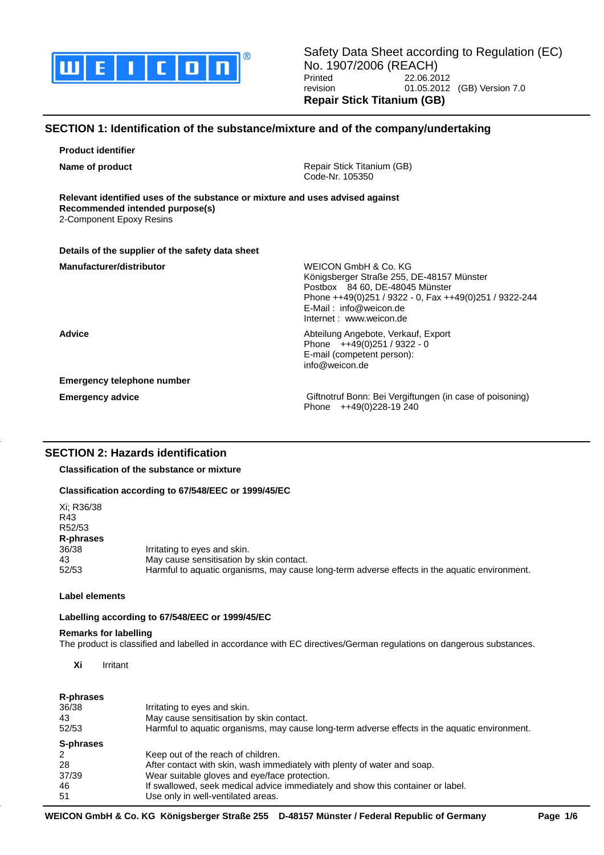

Safety Data Sheet according to Regulation (EC) No. 1907/2006 (REACH) Printed 22.06.2012<br>
revision 01.05.2012 01.05.2012 (GB) Version 7.0 **Repair Stick Titanium (GB)**

# **SECTION 1: Identification of the substance/mixture and of the company/undertaking**

**Product identifier**

**Name of product Name of product Repair Stick Titanium (GB)** Code-Nr. 105350

**Relevant identified uses of the substance or mixture and uses advised against Recommended intended purpose(s)** 2-Component Epoxy Resins

| Details of the supplier of the safety data sheet |                                                                                                                                                                                                                        |
|--------------------------------------------------|------------------------------------------------------------------------------------------------------------------------------------------------------------------------------------------------------------------------|
| Manufacturer/distributor                         | WEICON GmbH & Co. KG<br>Königsberger Straße 255, DE-48157 Münster<br>Postbox 84 60, DE-48045 Münster<br>Phone ++49(0)251 / 9322 - 0, Fax ++49(0)251 / 9322-244<br>$E$ -Mail: info@weicon.de<br>Internet: www.weicon.de |
| <b>Advice</b>                                    | Abteilung Angebote, Verkauf, Export<br>Phone ++49(0)251 / 9322 - 0<br>E-mail (competent person):<br>info@weicon.de                                                                                                     |
| Emergency telephone number                       |                                                                                                                                                                                                                        |
| <b>Emergency advice</b>                          | Giftnotruf Bonn: Bei Vergiftungen (in case of poisoning)<br>Phone ++49(0)228-19 240                                                                                                                                    |

# **SECTION 2: Hazards identification**

**Classification of the substance or mixture**

# **Classification according to 67/548/EEC or 1999/45/EC**

| Xi: R36/38<br>R43<br>R52/53<br>R-phrases<br>36/38<br>Irritating to eyes and skin.<br>May cause sensitisation by skin contact.<br>43<br>Harmful to aquatic organisms, may cause long-term adverse effects in the aquatic environment.<br>52/53 |  |
|-----------------------------------------------------------------------------------------------------------------------------------------------------------------------------------------------------------------------------------------------|--|
|-----------------------------------------------------------------------------------------------------------------------------------------------------------------------------------------------------------------------------------------------|--|

## **Label elements**

## **Labelling according to 67/548/EEC or 1999/45/EC**

## **Remarks for labelling**

The product is classified and labelled in accordance with EC directives/German regulations on dangerous substances.

**Xi** Irritant

# **R-phrases**

| 36/38<br>43<br>52/53 | Irritating to eyes and skin.<br>May cause sensitisation by skin contact.<br>Harmful to aquatic organisms, may cause long-term adverse effects in the aquatic environment. |
|----------------------|---------------------------------------------------------------------------------------------------------------------------------------------------------------------------|
| S-phrases            |                                                                                                                                                                           |
| 2                    | Keep out of the reach of children.                                                                                                                                        |
| 28                   | After contact with skin, wash immediately with plenty of water and soap.                                                                                                  |
| 37/39                | Wear suitable gloves and eye/face protection.                                                                                                                             |
| 46                   | If swallowed, seek medical advice immediately and show this container or label.                                                                                           |
| 51                   | Use only in well-ventilated areas.                                                                                                                                        |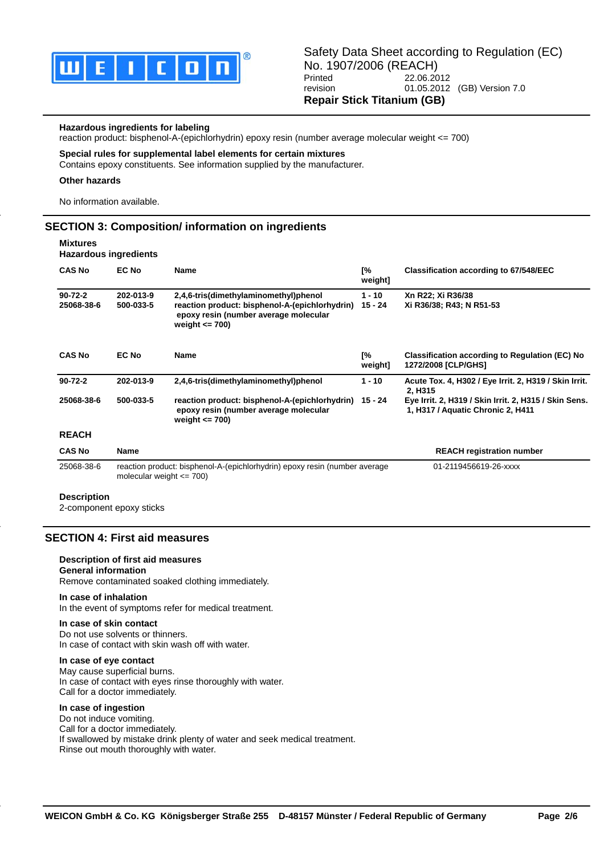

### **Hazardous ingredients for labeling**

reaction product: bisphenol-A-(epichlorhydrin) epoxy resin (number average molecular weight <= 700)

#### **Special rules for supplemental label elements for certain mixtures**

Contains epoxy constituents. See information supplied by the manufacturer.

#### **Other hazards**

No information available.

# **SECTION 3: Composition/ information on ingredients**

#### **Mixtures Hazardous ingredients**

| <b>CAS No</b>               | <b>EC No</b>                                                                                               | <b>Name</b>                                                                                                                                            | [%<br>weight]         | <b>Classification according to 67/548/EEC</b>                                              |
|-----------------------------|------------------------------------------------------------------------------------------------------------|--------------------------------------------------------------------------------------------------------------------------------------------------------|-----------------------|--------------------------------------------------------------------------------------------|
| $90 - 72 - 2$<br>25068-38-6 | 202-013-9<br>500-033-5                                                                                     | 2,4,6-tris(dimethylaminomethyl)phenol<br>reaction product: bisphenol-A-(epichlorhydrin)<br>epoxy resin (number average molecular<br>weight $\leq$ 700) | $1 - 10$<br>$15 - 24$ | Xn R22; Xi R36/38<br>Xi R36/38; R43; N R51-53                                              |
| <b>CAS No</b>               | <b>EC No</b>                                                                                               | <b>Name</b>                                                                                                                                            | [%<br>weight]         | <b>Classification according to Regulation (EC) No</b><br>1272/2008 [CLP/GHS]               |
| $90 - 72 - 2$               | 202-013-9                                                                                                  | 2,4,6-tris(dimethylaminomethyl)phenol                                                                                                                  | $1 - 10$              | Acute Tox. 4, H302 / Eye Irrit. 2, H319 / Skin Irrit.<br>2, H315                           |
| 25068-38-6                  | 500-033-5                                                                                                  | reaction product: bisphenol-A-(epichlorhydrin)<br>epoxy resin (number average molecular<br>weight $\leq$ 700)                                          | 15 - 24               | Eye Irrit. 2, H319 / Skin Irrit. 2, H315 / Skin Sens.<br>1, H317 / Aquatic Chronic 2, H411 |
| <b>REACH</b>                |                                                                                                            |                                                                                                                                                        |                       |                                                                                            |
| <b>CAS No</b>               | Name                                                                                                       |                                                                                                                                                        |                       | <b>REACH registration number</b>                                                           |
| 25068-38-6                  | reaction product: bisphenol-A-(epichlorhydrin) epoxy resin (number average<br>molecular weight $\leq$ 700) |                                                                                                                                                        |                       | 01-2119456619-26-xxxx                                                                      |
| <b>Description</b>          |                                                                                                            |                                                                                                                                                        |                       |                                                                                            |

#### 2-component epoxy sticks

# **SECTION 4: First aid measures**

#### **Description of first aid measures**

### **General information** Remove contaminated soaked clothing immediately.

**In case of inhalation** In the event of symptoms refer for medical treatment.

#### **In case of skin contact**

Do not use solvents or thinners. In case of contact with skin wash off with water.

## **In case of eye contact**

May cause superficial burns. In case of contact with eyes rinse thoroughly with water. Call for a doctor immediately.

#### **In case of ingestion**

Do not induce vomiting. Call for a doctor immediately. If swallowed by mistake drink plenty of water and seek medical treatment. Rinse out mouth thoroughly with water.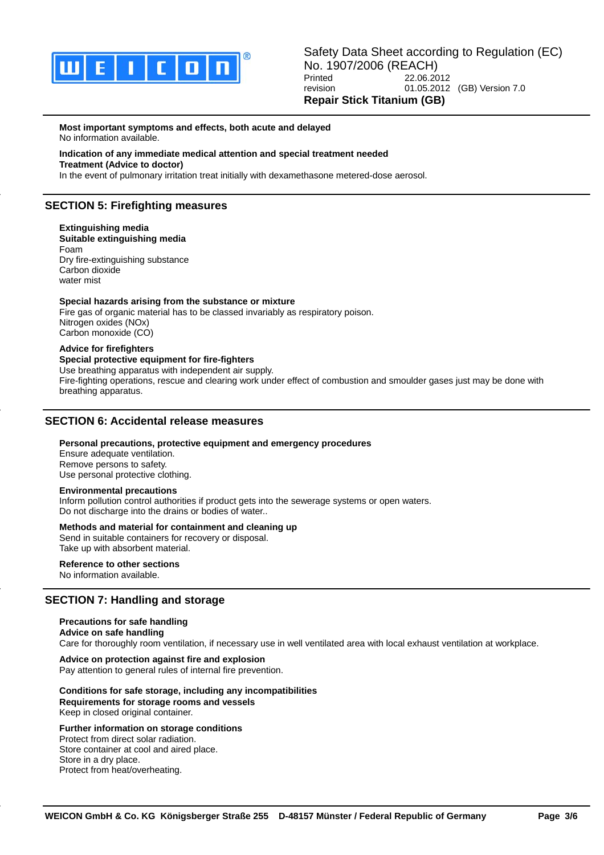

#### **Most important symptoms and effects, both acute and delayed** No information available.

### **Indication of any immediate medical attention and special treatment needed**

**Treatment (Advice to doctor)**

In the event of pulmonary irritation treat initially with dexamethasone metered-dose aerosol.

# **SECTION 5: Firefighting measures**

**Extinguishing media Suitable extinguishing media** Foam Dry fire-extinguishing substance Carbon dioxide water mist

## **Special hazards arising from the substance or mixture**

Fire gas of organic material has to be classed invariably as respiratory poison. Nitrogen oxides (NOx) Carbon monoxide (CO)

## **Advice for firefighters**

# **Special protective equipment for fire-fighters**

Use breathing apparatus with independent air supply.

Fire-fighting operations, rescue and clearing work under effect of combustion and smoulder gases just may be done with breathing apparatus.

# **SECTION 6: Accidental release measures**

### **Personal precautions, protective equipment and emergency procedures**

Ensure adequate ventilation. Remove persons to safety. Use personal protective clothing.

### **Environmental precautions**

Inform pollution control authorities if product gets into the sewerage systems or open waters. Do not discharge into the drains or bodies of water..

### **Methods and material for containment and cleaning up**

Send in suitable containers for recovery or disposal. Take up with absorbent material.

## **Reference to other sections**

No information available.

# **SECTION 7: Handling and storage**

## **Precautions for safe handling Advice on safe handling** Care for thoroughly room ventilation, if necessary use in well ventilated area with local exhaust ventilation at workplace.

# **Advice on protection against fire and explosion**

Pay attention to general rules of internal fire prevention.

# **Conditions for safe storage, including any incompatibilities**

**Requirements for storage rooms and vessels** Keep in closed original container.

# **Further information on storage conditions**

Protect from direct solar radiation. Store container at cool and aired place. Store in a dry place. Protect from heat/overheating.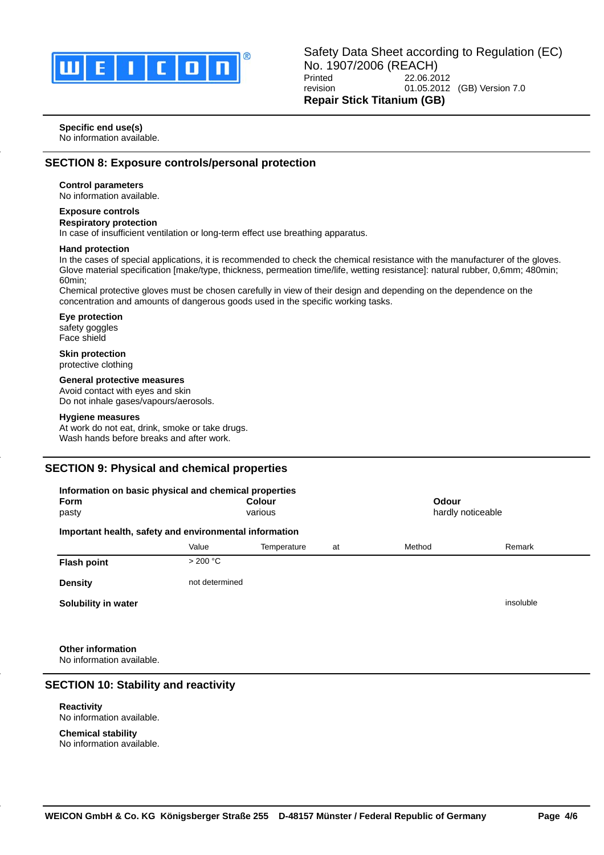

#### **Specific end use(s)**

No information available.

# **SECTION 8: Exposure controls/personal protection**

## **Control parameters**

No information available.

# **Exposure controls**

**Respiratory protection**

In case of insufficient ventilation or long-term effect use breathing apparatus.

#### **Hand protection**

In the cases of special applications, it is recommended to check the chemical resistance with the manufacturer of the gloves. Glove material specification [make/type, thickness, permeation time/life, wetting resistance]: natural rubber, 0,6mm; 480min; 60min;

Chemical protective gloves must be chosen carefully in view of their design and depending on the dependence on the concentration and amounts of dangerous goods used in the specific working tasks.

**Eye protection**

safety goggles Face shield

#### **Skin protection** protective clothing

### **General protective measures**

Avoid contact with eyes and skin Do not inhale gases/vapours/aerosols.

#### **Hygiene measures**

At work do not eat, drink, smoke or take drugs. Wash hands before breaks and after work.

# **SECTION 9: Physical and chemical properties**

| Information on basic physical and chemical properties  |                |               |    |                   |           |  |
|--------------------------------------------------------|----------------|---------------|----|-------------------|-----------|--|
| <b>Form</b>                                            |                | <b>Colour</b> |    | Odour             |           |  |
| pasty                                                  |                | various       |    | hardly noticeable |           |  |
| Important health, safety and environmental information |                |               |    |                   |           |  |
|                                                        | Value          | Temperature   | at | Method            | Remark    |  |
| <b>Flash point</b>                                     | >200 °C        |               |    |                   |           |  |
| <b>Density</b>                                         | not determined |               |    |                   |           |  |
| Solubility in water                                    |                |               |    |                   | insoluble |  |
|                                                        |                |               |    |                   |           |  |
|                                                        |                |               |    |                   |           |  |

**Other information** No information available.

# **SECTION 10: Stability and reactivity**

**Reactivity** No information available.

**Chemical stability** No information available.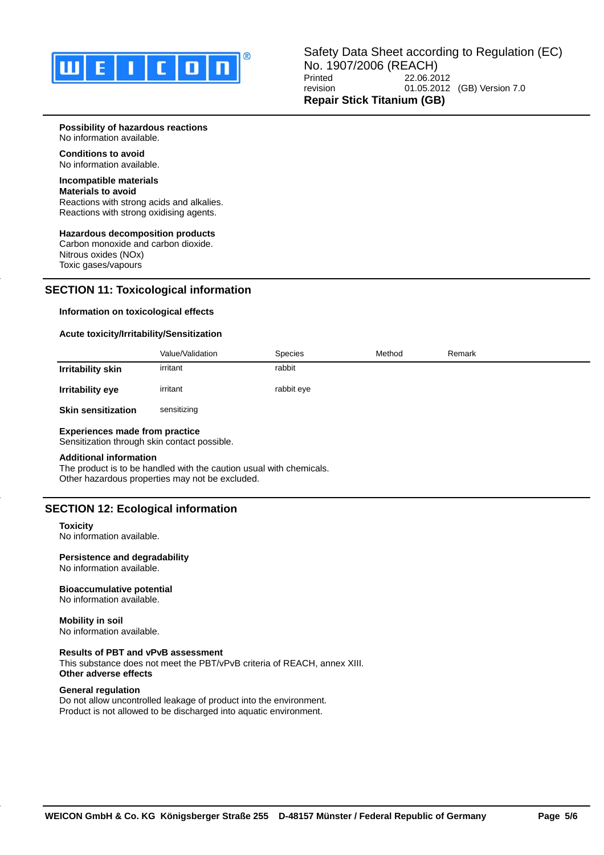

## **Possibility of hazardous reactions**

No information available.

**Conditions to avoid** No information available.

# **Incompatible materials**

## **Materials to avoid**

Reactions with strong acids and alkalies. Reactions with strong oxidising agents.

## **Hazardous decomposition products**

Carbon monoxide and carbon dioxide. Nitrous oxides (NOx) Toxic gases/vapours

# **SECTION 11: Toxicological information**

#### **Information on toxicological effects**

#### **Acute toxicity/Irritability/Sensitization**

|                           | Value/Validation | <b>Species</b> | Method | Remark |
|---------------------------|------------------|----------------|--------|--------|
| Irritability skin         | irritant         | rabbit         |        |        |
| Irritability eye          | irritant         | rabbit eye     |        |        |
| <b>Skin sensitization</b> | sensitizing      |                |        |        |

# **Experiences made from practice**

## Sensitization through skin contact possible.

#### **Additional information**

The product is to be handled with the caution usual with chemicals. Other hazardous properties may not be excluded.

# **SECTION 12: Ecological information**

#### **Toxicity**

No information available.

## **Persistence and degradability**

No information available.

# **Bioaccumulative potential**

No information available.

**Mobility in soil** No information available.

### **Results of PBT and vPvB assessment**

This substance does not meet the PBT/vPvB criteria of REACH, annex XIII. **Other adverse effects**

#### **General regulation**

Do not allow uncontrolled leakage of product into the environment. Product is not allowed to be discharged into aquatic environment.